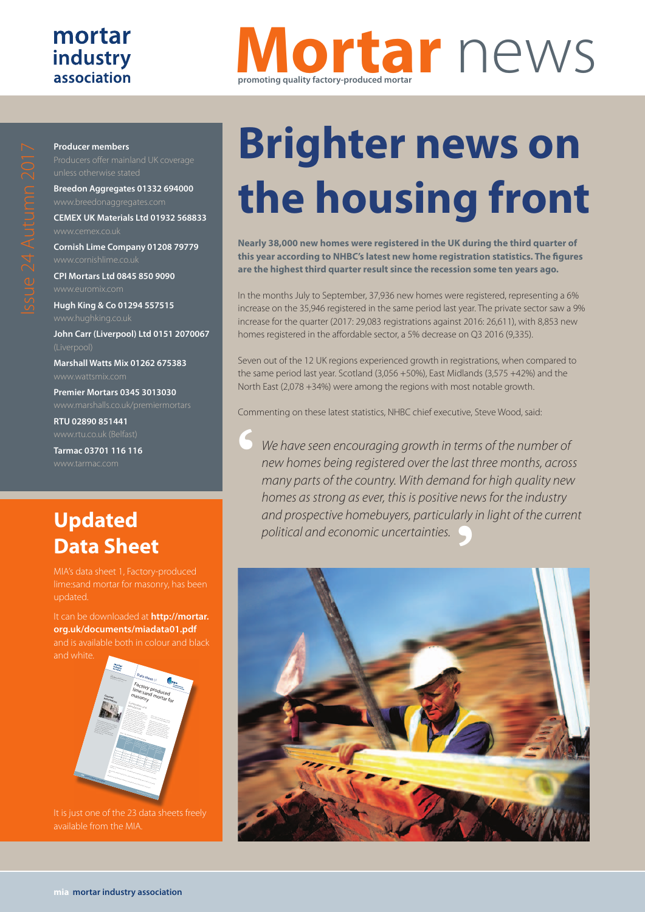### mortar industry association

# **Mortar** news **promoting quality factory-produced mortar**

#### **Producer members**

**Breedon Aggregates 01332 694000**

**CEMEX UK Materials Ltd 01932 568833**

**Cornish Lime Company 01208 79779**

**CPI Mortars Ltd 0845 850 9090**

**Hugh King & Co 01294 557515**

**John Carr (Liverpool) Ltd 0151 2070067**

**Marshall Watts Mix 01262 675383**

**Premier Mortars 0345 3013030**

**RTU 02890 851441**

**Tarmac 03701 116 116**

## **Updated Data Sheet**

It can be downloaded at **http://mortar. org.uk/documents/miadata01.pdf** and is available both in colour and black



It is just one of the 23 data sheets freely available from the MIA.

# **Brighter news on the housing front**

**Nearly 38,000 new homes were registered in the UK during the third quarter of this year according to NHBC's latest new home registration statistics. The figures are the highest third quarter result since the recession some ten years ago.**

In the months July to September, 37,936 new homes were registered, representing a 6% increase on the 35,946 registered in the same period last year. The private sector saw a 9% increase for the quarter (2017: 29,083 registrations against 2016: 26,611), with 8,853 new homes registered in the affordable sector, a 5% decrease on Q3 2016 (9,335).

Seven out of the 12 UK regions experienced growth in registrations, when compared to the same period last year. Scotland (3,056 +50%), East Midlands (3,575 +42%) and the North East (2,078 +34%) were among the regions with most notable growth.

Commenting on these latest statistics, NHBC chief executive, Steve Wood, said:

**'** *We have seen encouraging growth in terms of the number of new homes being registered over the last three months, across many parts of the country. With demand for high quality new homes as strong as ever, this is positive news for the industry and prospective homebuyers, particularly in light of the current political and economic uncertainties.*